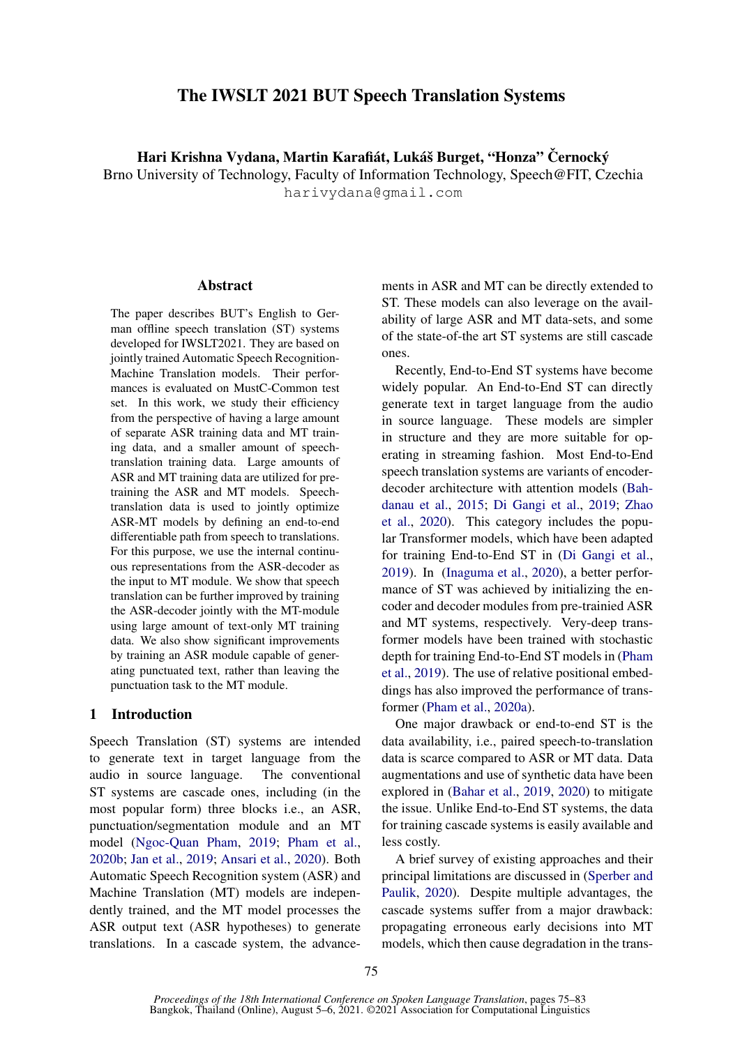# The IWSLT 2021 BUT Speech Translation Systems

Hari Krishna Vydana, Martin Karafiát, Lukáš Burget, "Honza" Černocký

Brno University of Technology, Faculty of Information Technology, Speech@FIT, Czechia harivydana@gmail.com

#### Abstract

The paper describes BUT's English to German offline speech translation (ST) systems developed for IWSLT2021. They are based on jointly trained Automatic Speech Recognition-Machine Translation models. Their performances is evaluated on MustC-Common test set. In this work, we study their efficiency from the perspective of having a large amount of separate ASR training data and MT training data, and a smaller amount of speechtranslation training data. Large amounts of ASR and MT training data are utilized for pretraining the ASR and MT models. Speechtranslation data is used to jointly optimize ASR-MT models by defining an end-to-end differentiable path from speech to translations. For this purpose, we use the internal continuous representations from the ASR-decoder as the input to MT module. We show that speech translation can be further improved by training the ASR-decoder jointly with the MT-module using large amount of text-only MT training data. We also show significant improvements by training an ASR module capable of generating punctuated text, rather than leaving the punctuation task to the MT module.

# 1 Introduction

Speech Translation (ST) systems are intended to generate text in target language from the audio in source language. The conventional ST systems are cascade ones, including (in the most popular form) three blocks i.e., an ASR, punctuation/segmentation module and an MT model [\(Ngoc-Quan Pham,](#page-7-0) [2019;](#page-7-0) [Pham et al.,](#page-7-1) [2020b;](#page-7-1) [Jan et al.,](#page-7-2) [2019;](#page-7-2) [Ansari et al.,](#page-7-3) [2020\)](#page-7-3). Both Automatic Speech Recognition system (ASR) and Machine Translation (MT) models are independently trained, and the MT model processes the ASR output text (ASR hypotheses) to generate translations. In a cascade system, the advance-

ments in ASR and MT can be directly extended to ST. These models can also leverage on the availability of large ASR and MT data-sets, and some of the state-of-the art ST systems are still cascade ones.

Recently, End-to-End ST systems have become widely popular. An End-to-End ST can directly generate text in target language from the audio in source language. These models are simpler in structure and they are more suitable for operating in streaming fashion. Most End-to-End speech translation systems are variants of encoderdecoder architecture with attention models [\(Bah](#page-7-4)[danau et al.,](#page-7-4) [2015;](#page-7-4) [Di Gangi et al.,](#page-7-5) [2019;](#page-7-5) [Zhao](#page-8-0) [et al.,](#page-8-0) [2020\)](#page-8-0). This category includes the popular Transformer models, which have been adapted for training End-to-End ST in [\(Di Gangi et al.,](#page-7-5) [2019\)](#page-7-5). In [\(Inaguma et al.,](#page-7-6) [2020\)](#page-7-6), a better performance of ST was achieved by initializing the encoder and decoder modules from pre-trainied ASR and MT systems, respectively. Very-deep transformer models have been trained with stochastic depth for training End-to-End ST models in [\(Pham](#page-7-7) [et al.,](#page-7-7) [2019\)](#page-7-7). The use of relative positional embeddings has also improved the performance of transformer [\(Pham et al.,](#page-7-8) [2020a\)](#page-7-8).

One major drawback or end-to-end ST is the data availability, i.e., paired speech-to-translation data is scarce compared to ASR or MT data. Data augmentations and use of synthetic data have been explored in [\(Bahar et al.,](#page-7-9) [2019,](#page-7-9) [2020\)](#page-7-10) to mitigate the issue. Unlike End-to-End ST systems, the data for training cascade systems is easily available and less costly.

A brief survey of existing approaches and their principal limitations are discussed in [\(Sperber and](#page-8-1) [Paulik,](#page-8-1) [2020\)](#page-8-1). Despite multiple advantages, the cascade systems suffer from a major drawback: propagating erroneous early decisions into MT models, which then cause degradation in the trans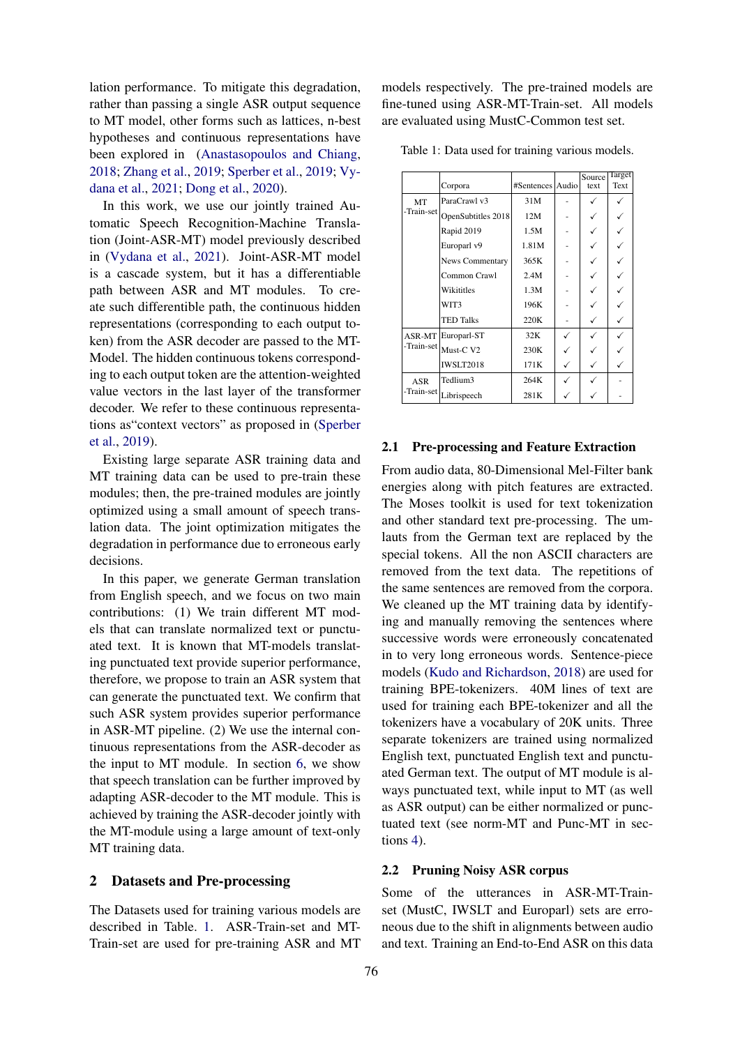lation performance. To mitigate this degradation, rather than passing a single ASR output sequence to MT model, other forms such as lattices, n-best hypotheses and continuous representations have been explored in [\(Anastasopoulos and Chiang,](#page-6-0) [2018;](#page-6-0) [Zhang et al.,](#page-8-2) [2019;](#page-8-2) [Sperber et al.,](#page-7-11) [2019;](#page-7-11) [Vy](#page-8-3)[dana et al.,](#page-8-3) [2021;](#page-8-3) [Dong et al.,](#page-7-12) [2020\)](#page-7-12).

In this work, we use our jointly trained Automatic Speech Recognition-Machine Translation (Joint-ASR-MT) model previously described in [\(Vydana et al.,](#page-8-3) [2021\)](#page-8-3). Joint-ASR-MT model is a cascade system, but it has a differentiable path between ASR and MT modules. To create such differentible path, the continuous hidden representations (corresponding to each output token) from the ASR decoder are passed to the MT-Model. The hidden continuous tokens corresponding to each output token are the attention-weighted value vectors in the last layer of the transformer decoder. We refer to these continuous representations as"context vectors" as proposed in [\(Sperber](#page-7-11) [et al.,](#page-7-11) [2019\)](#page-7-11).

Existing large separate ASR training data and MT training data can be used to pre-train these modules; then, the pre-trained modules are jointly optimized using a small amount of speech translation data. The joint optimization mitigates the degradation in performance due to erroneous early decisions.

In this paper, we generate German translation from English speech, and we focus on two main contributions: (1) We train different MT models that can translate normalized text or punctuated text. It is known that MT-models translating punctuated text provide superior performance, therefore, we propose to train an ASR system that can generate the punctuated text. We confirm that such ASR system provides superior performance in ASR-MT pipeline. (2) We use the internal continuous representations from the ASR-decoder as the input to MT module. In section [6,](#page-3-0) we show that speech translation can be further improved by adapting ASR-decoder to the MT module. This is achieved by training the ASR-decoder jointly with the MT-module using a large amount of text-only MT training data.

### 2 Datasets and Pre-processing

The Datasets used for training various models are described in Table. [1.](#page-1-0) ASR-Train-set and MT-Train-set are used for pre-training ASR and MT models respectively. The pre-trained models are fine-tuned using ASR-MT-Train-set. All models are evaluated using MustC-Common test set.

<span id="page-1-0"></span>Table 1: Data used for training various models.

|            | Corpora                | #Sentences Audio | Source<br>text | <b>Target</b><br>Text |
|------------|------------------------|------------------|----------------|-----------------------|
| MT         | ParaCrawl v3           | 31M              |                |                       |
| -Train-set | OpenSubtitles 2018     | 12M              |                |                       |
|            | Rapid 2019             | 1.5M             |                |                       |
|            | Europarl v9            | 1.81M            |                |                       |
|            | <b>News Commentary</b> | 365K             |                |                       |
|            | Common Crawl           | 2.4M             |                |                       |
|            | Wikititles             | 1.3M             |                |                       |
|            | WIT3                   | 196K             |                |                       |
|            | <b>TED Talks</b>       | 220K             |                |                       |
|            | ASR-MT Europarl-ST     | 32K              |                |                       |
|            | -Train-set Must-C V2   | 230K             |                |                       |
|            | <b>IWSLT2018</b>       | 171K             |                |                       |
| <b>ASR</b> | Tedlium3               | 264K             |                |                       |
| -Train-set | Librispeech            | 281K             |                |                       |

# 2.1 Pre-processing and Feature Extraction

From audio data, 80-Dimensional Mel-Filter bank energies along with pitch features are extracted. The Moses toolkit is used for text tokenization and other standard text pre-processing. The umlauts from the German text are replaced by the special tokens. All the non ASCII characters are removed from the text data. The repetitions of the same sentences are removed from the corpora. We cleaned up the MT training data by identifying and manually removing the sentences where successive words were erroneously concatenated in to very long erroneous words. Sentence-piece models [\(Kudo and Richardson,](#page-7-13) [2018\)](#page-7-13) are used for training BPE-tokenizers. 40M lines of text are used for training each BPE-tokenizer and all the tokenizers have a vocabulary of 20K units. Three separate tokenizers are trained using normalized English text, punctuated English text and punctuated German text. The output of MT module is always punctuated text, while input to MT (as well as ASR output) can be either normalized or punctuated text (see norm-MT and Punc-MT in sections [4\)](#page-2-0).

#### <span id="page-1-1"></span>2.2 Pruning Noisy ASR corpus

Some of the utterances in ASR-MT-Trainset (MustC, IWSLT and Europarl) sets are erroneous due to the shift in alignments between audio and text. Training an End-to-End ASR on this data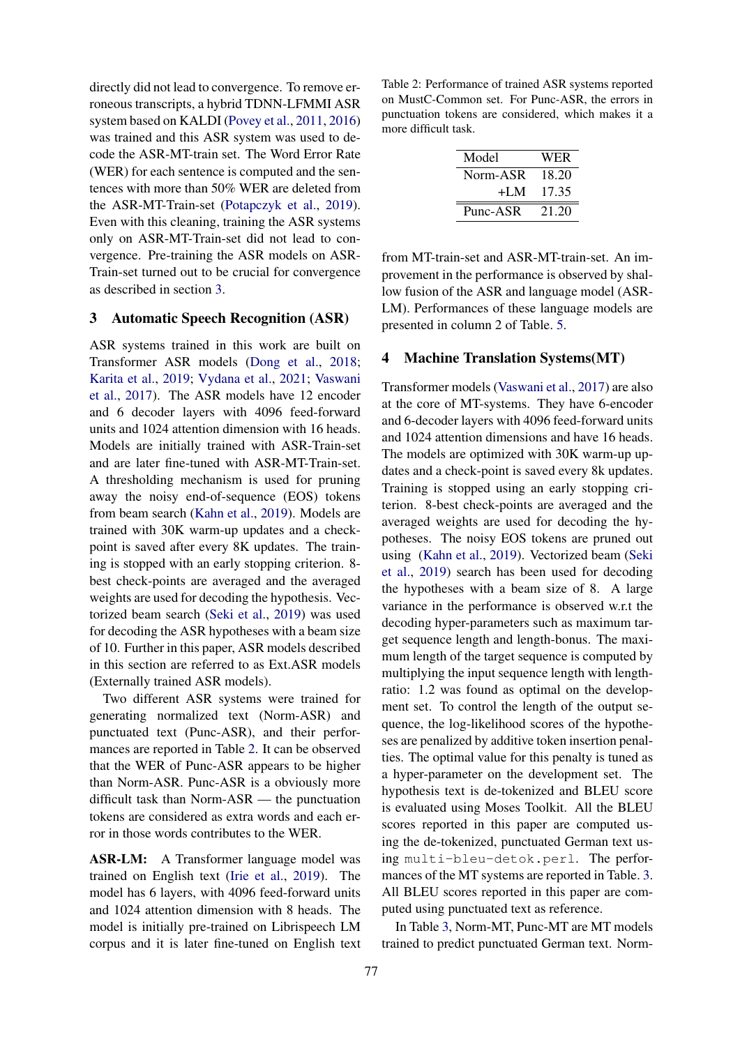directly did not lead to convergence. To remove erroneous transcripts, a hybrid TDNN-LFMMI ASR system based on KALDI [\(Povey et al.,](#page-7-14) [2011,](#page-7-14) [2016\)](#page-7-15) was trained and this ASR system was used to decode the ASR-MT-train set. The Word Error Rate (WER) for each sentence is computed and the sentences with more than 50% WER are deleted from the ASR-MT-Train-set [\(Potapczyk et al.,](#page-7-16) [2019\)](#page-7-16). Even with this cleaning, training the ASR systems only on ASR-MT-Train-set did not lead to convergence. Pre-training the ASR models on ASR-Train-set turned out to be crucial for convergence as described in section [3.](#page-2-1)

# <span id="page-2-1"></span>3 Automatic Speech Recognition (ASR)

ASR systems trained in this work are built on Transformer ASR models [\(Dong et al.,](#page-7-17) [2018;](#page-7-17) [Karita et al.,](#page-7-18) [2019;](#page-7-18) [Vydana et al.,](#page-8-3) [2021;](#page-8-3) [Vaswani](#page-8-4) [et al.,](#page-8-4) [2017\)](#page-8-4). The ASR models have 12 encoder and 6 decoder layers with 4096 feed-forward units and 1024 attention dimension with 16 heads. Models are initially trained with ASR-Train-set and are later fine-tuned with ASR-MT-Train-set. A thresholding mechanism is used for pruning away the noisy end-of-sequence (EOS) tokens from beam search [\(Kahn et al.,](#page-7-19) [2019\)](#page-7-19). Models are trained with 30K warm-up updates and a checkpoint is saved after every 8K updates. The training is stopped with an early stopping criterion. 8 best check-points are averaged and the averaged weights are used for decoding the hypothesis. Vectorized beam search [\(Seki et al.,](#page-7-20) [2019\)](#page-7-20) was used for decoding the ASR hypotheses with a beam size of 10. Further in this paper, ASR models described in this section are referred to as Ext.ASR models (Externally trained ASR models).

Two different ASR systems were trained for generating normalized text (Norm-ASR) and punctuated text (Punc-ASR), and their performances are reported in Table [2.](#page-2-2) It can be observed that the WER of Punc-ASR appears to be higher than Norm-ASR. Punc-ASR is a obviously more difficult task than Norm-ASR — the punctuation tokens are considered as extra words and each error in those words contributes to the WER.

ASR-LM: A Transformer language model was trained on English text [\(Irie et al.,](#page-7-21) [2019\)](#page-7-21). The model has 6 layers, with 4096 feed-forward units and 1024 attention dimension with 8 heads. The model is initially pre-trained on Librispeech LM corpus and it is later fine-tuned on English text

<span id="page-2-2"></span>Table 2: Performance of trained ASR systems reported on MustC-Common set. For Punc-ASR, the errors in punctuation tokens are considered, which makes it a more difficult task.

| Model    | WER   |
|----------|-------|
| Norm-ASR | 18.20 |
| $+I.M$   | 17.35 |
| Punc-ASR | 21.20 |

from MT-train-set and ASR-MT-train-set. An improvement in the performance is observed by shallow fusion of the ASR and language model (ASR-LM). Performances of these language models are presented in column 2 of Table. [5.](#page-5-0)

#### <span id="page-2-0"></span>4 Machine Translation Systems(MT)

Transformer models [\(Vaswani et al.,](#page-8-4) [2017\)](#page-8-4) are also at the core of MT-systems. They have 6-encoder and 6-decoder layers with 4096 feed-forward units and 1024 attention dimensions and have 16 heads. The models are optimized with 30K warm-up updates and a check-point is saved every 8k updates. Training is stopped using an early stopping criterion. 8-best check-points are averaged and the averaged weights are used for decoding the hypotheses. The noisy EOS tokens are pruned out using [\(Kahn et al.,](#page-7-19) [2019\)](#page-7-19). Vectorized beam [\(Seki](#page-7-20) [et al.,](#page-7-20) [2019\)](#page-7-20) search has been used for decoding the hypotheses with a beam size of 8. A large variance in the performance is observed w.r.t the decoding hyper-parameters such as maximum target sequence length and length-bonus. The maximum length of the target sequence is computed by multiplying the input sequence length with lengthratio: 1.2 was found as optimal on the development set. To control the length of the output sequence, the log-likelihood scores of the hypotheses are penalized by additive token insertion penalties. The optimal value for this penalty is tuned as a hyper-parameter on the development set. The hypothesis text is de-tokenized and BLEU score is evaluated using Moses Toolkit. All the BLEU scores reported in this paper are computed using the de-tokenized, punctuated German text using multi-bleu-detok.perl. The performances of the MT systems are reported in Table. [3.](#page-3-1) All BLEU scores reported in this paper are computed using punctuated text as reference.

In Table [3,](#page-3-1) Norm-MT, Punc-MT are MT models trained to predict punctuated German text. Norm-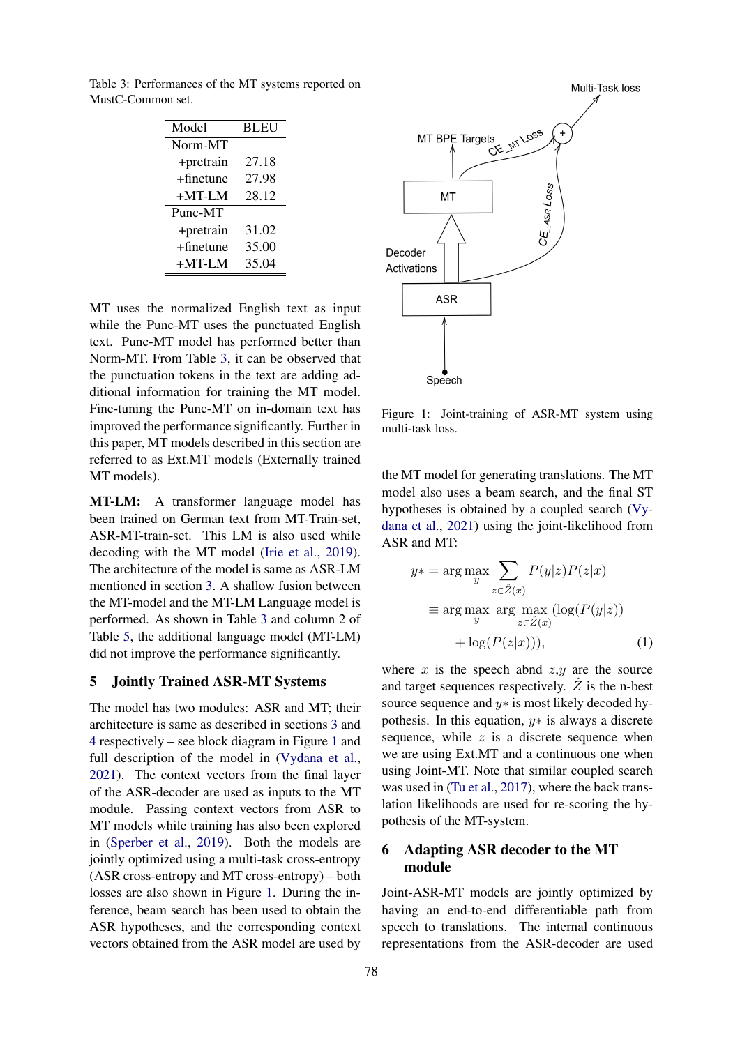<span id="page-3-1"></span>Table 3: Performances of the MT systems reported on MustC-Common set.

| Model        | <b>BLEU</b> |
|--------------|-------------|
| Norm-MT      |             |
| +pretrain    | 27.18       |
| $+$ finetune | 27.98       |
| $+MT-LM$     | 28.12       |
| Punc-MT      |             |
| +pretrain    | 31.02       |
| $+$ finetune | 35.00       |
| +MT-LM       | 35.04       |

MT uses the normalized English text as input while the Punc-MT uses the punctuated English text. Punc-MT model has performed better than Norm-MT. From Table [3,](#page-3-1) it can be observed that the punctuation tokens in the text are adding additional information for training the MT model. Fine-tuning the Punc-MT on in-domain text has improved the performance significantly. Further in this paper, MT models described in this section are referred to as Ext.MT models (Externally trained MT models).

MT-LM: A transformer language model has been trained on German text from MT-Train-set, ASR-MT-train-set. This LM is also used while decoding with the MT model [\(Irie et al.,](#page-7-21) [2019\)](#page-7-21). The architecture of the model is same as ASR-LM mentioned in section [3.](#page-2-2) A shallow fusion between the MT-model and the MT-LM Language model is performed. As shown in Table [3](#page-3-1) and column 2 of Table [5,](#page-5-0) the additional language model (MT-LM) did not improve the performance significantly.

# <span id="page-3-3"></span>5 Jointly Trained ASR-MT Systems

The model has two modules: ASR and MT; their architecture is same as described in sections [3](#page-2-1) and [4](#page-2-0) respectively – see block diagram in Figure [1](#page-3-2) and full description of the model in [\(Vydana et al.,](#page-8-3) [2021\)](#page-8-3). The context vectors from the final layer of the ASR-decoder are used as inputs to the MT module. Passing context vectors from ASR to MT models while training has also been explored in [\(Sperber et al.,](#page-7-11) [2019\)](#page-7-11). Both the models are jointly optimized using a multi-task cross-entropy (ASR cross-entropy and MT cross-entropy) – both losses are also shown in Figure [1.](#page-3-2) During the inference, beam search has been used to obtain the ASR hypotheses, and the corresponding context vectors obtained from the ASR model are used by

<span id="page-3-2"></span>

Figure 1: Joint-training of ASR-MT system using multi-task loss.

the MT model for generating translations. The MT model also uses a beam search, and the final ST hypotheses is obtained by a coupled search [\(Vy](#page-8-3)[dana et al.,](#page-8-3) [2021\)](#page-8-3) using the joint-likelihood from ASR and MT:

<span id="page-3-4"></span>
$$
y* = \arg\max_{y} \sum_{z \in \hat{Z}(x)} P(y|z)P(z|x)
$$
  

$$
\equiv \arg\max_{y} \arg\max_{z \in \hat{Z}(x)} (\log(P(y|z)))
$$
  

$$
+ \log(P(z|x))), \qquad (1)
$$

where  $x$  is the speech abnd  $z, y$  are the source and target sequences respectively.  $Z$  is the n-best source sequence and  $y*$  is most likely decoded hypothesis. In this equation,  $y*$  is always a discrete sequence, while  $z$  is a discrete sequence when we are using Ext.MT and a continuous one when using Joint-MT. Note that similar coupled search was used in [\(Tu et al.,](#page-8-5) [2017\)](#page-8-5), where the back translation likelihoods are used for re-scoring the hypothesis of the MT-system.

# <span id="page-3-0"></span>6 Adapting ASR decoder to the MT module

Joint-ASR-MT models are jointly optimized by having an end-to-end differentiable path from speech to translations. The internal continuous representations from the ASR-decoder are used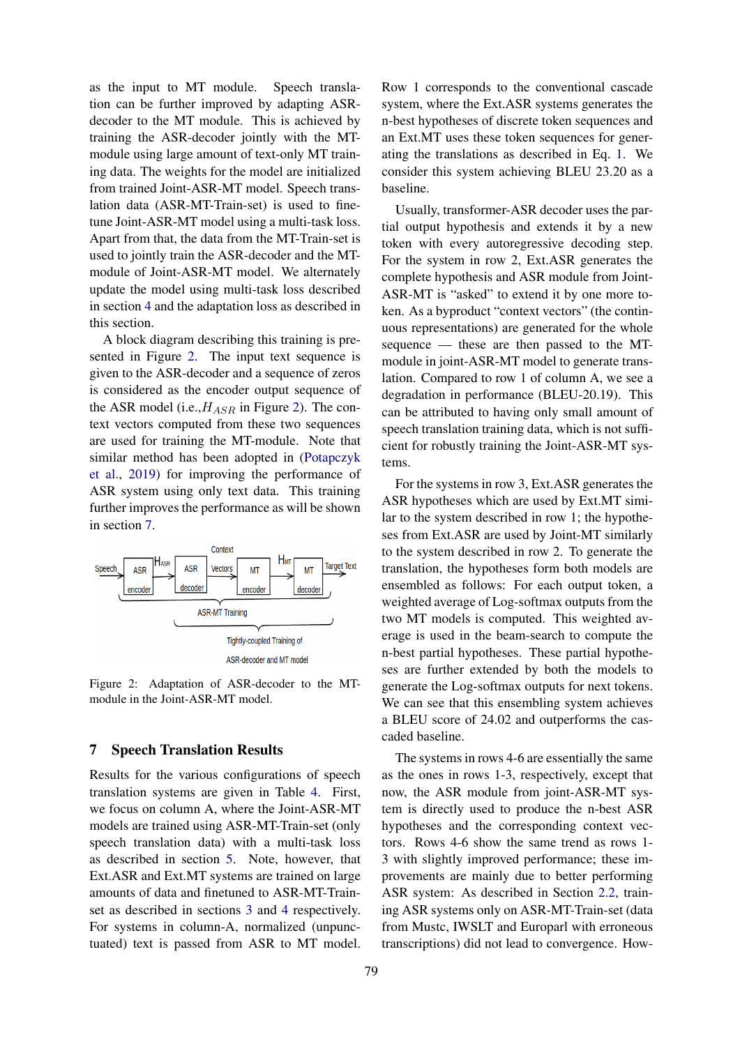as the input to MT module. Speech translation can be further improved by adapting ASRdecoder to the MT module. This is achieved by training the ASR-decoder jointly with the MTmodule using large amount of text-only MT training data. The weights for the model are initialized from trained Joint-ASR-MT model. Speech translation data (ASR-MT-Train-set) is used to finetune Joint-ASR-MT model using a multi-task loss. Apart from that, the data from the MT-Train-set is used to jointly train the ASR-decoder and the MTmodule of Joint-ASR-MT model. We alternately update the model using multi-task loss described in section [4](#page-5-1) and the adaptation loss as described in this section.

A block diagram describing this training is presented in Figure [2.](#page-4-0) The input text sequence is given to the ASR-decoder and a sequence of zeros is considered as the encoder output sequence of the ASR model (i.e.,  $H_{ASR}$  in Figure [2\)](#page-4-0). The context vectors computed from these two sequences are used for training the MT-module. Note that similar method has been adopted in [\(Potapczyk](#page-7-16) [et al.,](#page-7-16) [2019\)](#page-7-16) for improving the performance of ASR system using only text data. This training further improves the performance as will be shown in section [7.](#page-4-1)

<span id="page-4-0"></span>

Figure 2: Adaptation of ASR-decoder to the MTmodule in the Joint-ASR-MT model.

# <span id="page-4-1"></span>7 Speech Translation Results

Results for the various configurations of speech translation systems are given in Table [4.](#page-5-1) First, we focus on column A, where the Joint-ASR-MT models are trained using ASR-MT-Train-set (only speech translation data) with a multi-task loss as described in section [5.](#page-3-3) Note, however, that Ext.ASR and Ext.MT systems are trained on large amounts of data and finetuned to ASR-MT-Trainset as described in sections [3](#page-2-1) and [4](#page-2-0) respectively. For systems in column-A, normalized (unpunctuated) text is passed from ASR to MT model.

Row 1 corresponds to the conventional cascade system, where the Ext.ASR systems generates the n-best hypotheses of discrete token sequences and an Ext.MT uses these token sequences for generating the translations as described in Eq. [1.](#page-3-4) We consider this system achieving BLEU 23.20 as a baseline.

Usually, transformer-ASR decoder uses the partial output hypothesis and extends it by a new token with every autoregressive decoding step. For the system in row 2, Ext.ASR generates the complete hypothesis and ASR module from Joint-ASR-MT is "asked" to extend it by one more token. As a byproduct "context vectors" (the continuous representations) are generated for the whole sequence — these are then passed to the MTmodule in joint-ASR-MT model to generate translation. Compared to row 1 of column A, we see a degradation in performance (BLEU-20.19). This can be attributed to having only small amount of speech translation training data, which is not sufficient for robustly training the Joint-ASR-MT systems.

For the systems in row 3, Ext.ASR generates the ASR hypotheses which are used by Ext.MT similar to the system described in row 1; the hypotheses from Ext.ASR are used by Joint-MT similarly to the system described in row 2. To generate the translation, the hypotheses form both models are ensembled as follows: For each output token, a weighted average of Log-softmax outputs from the two MT models is computed. This weighted average is used in the beam-search to compute the n-best partial hypotheses. These partial hypotheses are further extended by both the models to generate the Log-softmax outputs for next tokens. We can see that this ensembling system achieves a BLEU score of 24.02 and outperforms the cascaded baseline.

The systems in rows 4-6 are essentially the same as the ones in rows 1-3, respectively, except that now, the ASR module from joint-ASR-MT system is directly used to produce the n-best ASR hypotheses and the corresponding context vectors. Rows 4-6 show the same trend as rows 1- 3 with slightly improved performance; these improvements are mainly due to better performing ASR system: As described in Section [2.2,](#page-1-1) training ASR systems only on ASR-MT-Train-set (data from Mustc, IWSLT and Europarl with erroneous transcriptions) did not lead to convergence. How-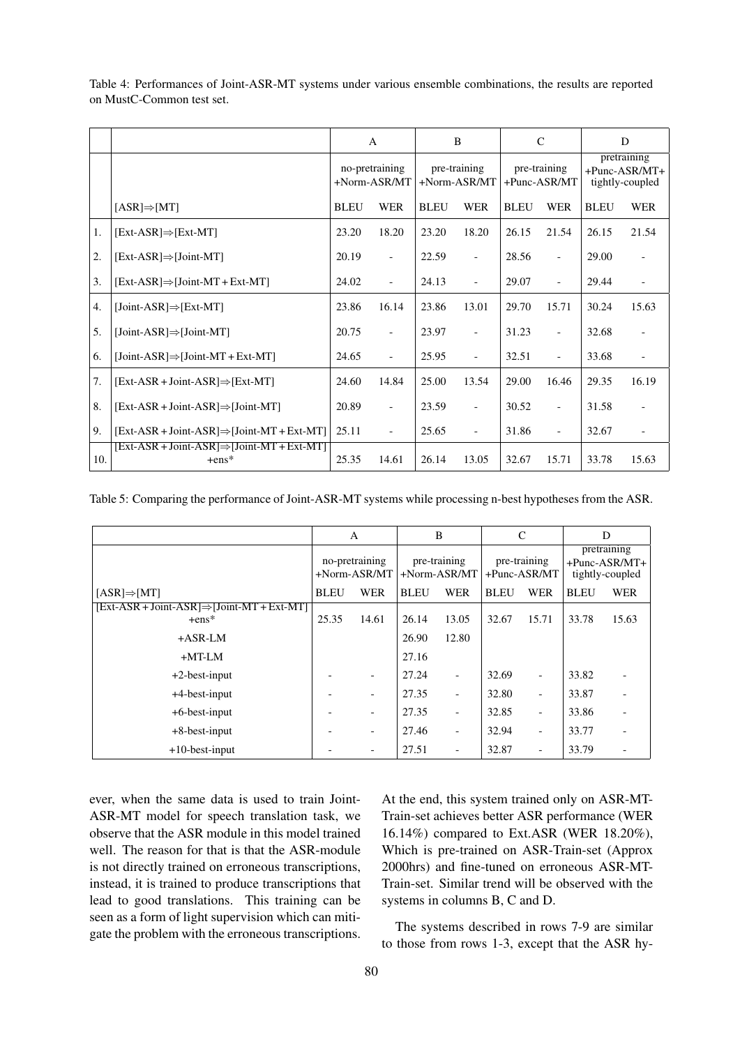|     |                                                         |             | $\mathbf{A}$                   | B           |                                | $\mathsf{C}$ |                              | D           |                                                    |
|-----|---------------------------------------------------------|-------------|--------------------------------|-------------|--------------------------------|--------------|------------------------------|-------------|----------------------------------------------------|
|     |                                                         |             | no-pretraining<br>+Norm-ASR/MT |             | pre-training<br>$+Norm-ASR/MT$ |              | pre-training<br>+Punc-ASR/MT |             | pretraining<br>$+$ Punc-ASR/MT+<br>tightly-coupled |
|     | $[ASR] \Rightarrow [MT]$                                | <b>BLEU</b> | <b>WER</b>                     | <b>BLEU</b> | <b>WER</b>                     | <b>BLEU</b>  | <b>WER</b>                   | <b>BLEU</b> | <b>WER</b>                                         |
| 1.  | $[Ext-ASR] \Rightarrow [Ext-MT]$                        | 23.20       | 18.20                          | 23.20       | 18.20                          | 26.15        | 21.54                        | 26.15       | 21.54                                              |
| 2.  | $[Ext-ASR] \Rightarrow [Joint-MT]$                      | 20.19       | $\overline{\phantom{a}}$       | 22.59       | $\overline{\phantom{0}}$       | 28.56        | $\overline{\phantom{a}}$     | 29.00       | $\blacksquare$                                     |
| 3.  | $[Ext-ASR] \Rightarrow [Joint-MT + Ext-MT]$             | 24.02       |                                | 24.13       | $\overline{\phantom{0}}$       | 29.07        |                              | 29.44       |                                                    |
| 4.  | $[Joint-ASR] \Rightarrow [Ext-MT]$                      | 23.86       | 16.14                          | 23.86       | 13.01                          | 29.70        | 15.71                        | 30.24       | 15.63                                              |
| 5.  | $[Joint-ASR] \Rightarrow [Joint-MT]$                    | 20.75       | $\overline{a}$                 | 23.97       | $\overline{\phantom{a}}$       | 31.23        | $\overline{\phantom{a}}$     | 32.68       |                                                    |
| 6.  | $[Joint-ASR] \Rightarrow [Joint-MT + Ext-MT]$           | 24.65       | $\overline{a}$                 | 25.95       | $\overline{\phantom{0}}$       | 32.51        | $\overline{\phantom{a}}$     | 33.68       |                                                    |
| 7.  | $[Ext-ASR + Joint-ASR] \Rightarrow [Ext-MT]$            | 24.60       | 14.84                          | 25.00       | 13.54                          | 29.00        | 16.46                        | 29.35       | 16.19                                              |
| 8.  | $[Ext-ASR + Joint-ASR] \Rightarrow [Joint-MT]$          | 20.89       | $\overline{a}$                 | 23.59       | $\overline{\phantom{0}}$       | 30.52        |                              | 31.58       |                                                    |
| 9.  | $[Ext-ASR + Joint-ASR] \Rightarrow [Joint-MT + Ext-MT]$ | 25.11       | $\overline{a}$                 | 25.65       | $\overline{\phantom{a}}$       | 31.86        | $\overline{\phantom{a}}$     | 32.67       |                                                    |
| 10. | [Ext-ASR + Joint-ASR]⇒[Joint-MT + Ext-MT]<br>$+ens*$    | 25.35       | 14.61                          | 26.14       | 13.05                          | 32.67        | 15.71                        | 33.78       | 15.63                                              |

<span id="page-5-1"></span>Table 4: Performances of Joint-ASR-MT systems under various ensemble combinations, the results are reported on MustC-Common test set.

<span id="page-5-0"></span>Table 5: Comparing the performance of Joint-ASR-MT systems while processing n-best hypotheses from the ASR.

|                                                                                     | A                                |            | B                              |                          | C                               |                          | D                                                     |            |
|-------------------------------------------------------------------------------------|----------------------------------|------------|--------------------------------|--------------------------|---------------------------------|--------------------------|-------------------------------------------------------|------------|
|                                                                                     | no-pretraining<br>$+Norm-ASR/MT$ |            | pre-training<br>$+Norm-ASR/MT$ |                          | pre-training<br>$+$ Punc-ASR/MT |                          | pretraining<br>$+$ Punc-ASR/MT $+$<br>tightly-coupled |            |
| $[ASR] \Rightarrow [MT]$<br>$[Ext-ASR + Joint-ASR] \Rightarrow [Joint-MT + Ext-MT]$ | <b>BLEU</b>                      | <b>WER</b> | <b>BLEU</b>                    | <b>WER</b>               | <b>BLEU</b>                     | <b>WER</b>               | <b>BLEU</b>                                           | <b>WER</b> |
| $+ens*$                                                                             | 25.35                            | 14.61      | 26.14                          | 13.05                    | 32.67                           | 15.71                    | 33.78                                                 | 15.63      |
| $+ASR-LM$                                                                           |                                  |            | 26.90                          | 12.80                    |                                 |                          |                                                       |            |
| $+MT-LM$                                                                            |                                  |            | 27.16                          |                          |                                 |                          |                                                       |            |
| $+2$ -best-input                                                                    |                                  |            | 27.24                          |                          | 32.69                           |                          | 33.82                                                 |            |
| $+4$ -best-input                                                                    |                                  |            | 27.35                          |                          | 32.80                           |                          | 33.87                                                 |            |
| $+6$ -best-input                                                                    |                                  |            | 27.35                          | $\overline{\phantom{a}}$ | 32.85                           | $\overline{a}$           | 33.86                                                 |            |
| $+8$ -best-input                                                                    |                                  |            | 27.46                          | $\overline{\phantom{a}}$ | 32.94                           | $\overline{a}$           | 33.77                                                 |            |
| $+10$ -best-input                                                                   |                                  |            | 27.51                          | $\overline{\phantom{a}}$ | 32.87                           | $\overline{\phantom{a}}$ | 33.79                                                 |            |

ever, when the same data is used to train Joint-ASR-MT model for speech translation task, we observe that the ASR module in this model trained well. The reason for that is that the ASR-module is not directly trained on erroneous transcriptions, instead, it is trained to produce transcriptions that lead to good translations. This training can be seen as a form of light supervision which can mitigate the problem with the erroneous transcriptions. At the end, this system trained only on ASR-MT-Train-set achieves better ASR performance (WER 16.14%) compared to Ext.ASR (WER 18.20%), Which is pre-trained on ASR-Train-set (Approx 2000hrs) and fine-tuned on erroneous ASR-MT-Train-set. Similar trend will be observed with the systems in columns B, C and D.

The systems described in rows 7-9 are similar to those from rows 1-3, except that the ASR hy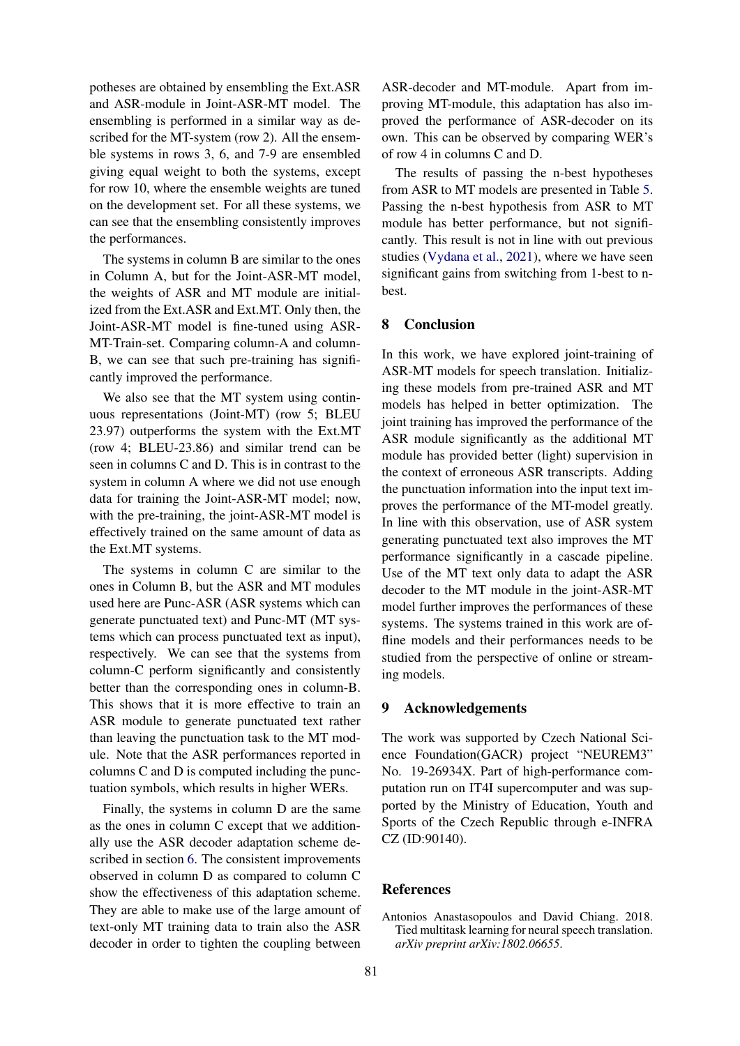potheses are obtained by ensembling the Ext.ASR and ASR-module in Joint-ASR-MT model. The ensembling is performed in a similar way as described for the MT-system (row 2). All the ensemble systems in rows 3, 6, and 7-9 are ensembled giving equal weight to both the systems, except for row 10, where the ensemble weights are tuned on the development set. For all these systems, we can see that the ensembling consistently improves the performances.

The systems in column B are similar to the ones in Column A, but for the Joint-ASR-MT model, the weights of ASR and MT module are initialized from the Ext.ASR and Ext.MT. Only then, the Joint-ASR-MT model is fine-tuned using ASR-MT-Train-set. Comparing column-A and column-B, we can see that such pre-training has significantly improved the performance.

We also see that the MT system using continuous representations (Joint-MT) (row 5; BLEU 23.97) outperforms the system with the Ext.MT (row 4; BLEU-23.86) and similar trend can be seen in columns C and D. This is in contrast to the system in column A where we did not use enough data for training the Joint-ASR-MT model; now, with the pre-training, the joint-ASR-MT model is effectively trained on the same amount of data as the Ext.MT systems.

The systems in column C are similar to the ones in Column B, but the ASR and MT modules used here are Punc-ASR (ASR systems which can generate punctuated text) and Punc-MT (MT systems which can process punctuated text as input), respectively. We can see that the systems from column-C perform significantly and consistently better than the corresponding ones in column-B. This shows that it is more effective to train an ASR module to generate punctuated text rather than leaving the punctuation task to the MT module. Note that the ASR performances reported in columns C and D is computed including the punctuation symbols, which results in higher WERs.

Finally, the systems in column D are the same as the ones in column C except that we additionally use the ASR decoder adaptation scheme described in section [6.](#page-3-0) The consistent improvements observed in column D as compared to column C show the effectiveness of this adaptation scheme. They are able to make use of the large amount of text-only MT training data to train also the ASR decoder in order to tighten the coupling between

ASR-decoder and MT-module. Apart from improving MT-module, this adaptation has also improved the performance of ASR-decoder on its own. This can be observed by comparing WER's of row 4 in columns C and D.

The results of passing the n-best hypotheses from ASR to MT models are presented in Table [5.](#page-5-0) Passing the n-best hypothesis from ASR to MT module has better performance, but not significantly. This result is not in line with out previous studies [\(Vydana et al.,](#page-8-3) [2021\)](#page-8-3), where we have seen significant gains from switching from 1-best to nbest.

# 8 Conclusion

In this work, we have explored joint-training of ASR-MT models for speech translation. Initializing these models from pre-trained ASR and MT models has helped in better optimization. The joint training has improved the performance of the ASR module significantly as the additional MT module has provided better (light) supervision in the context of erroneous ASR transcripts. Adding the punctuation information into the input text improves the performance of the MT-model greatly. In line with this observation, use of ASR system generating punctuated text also improves the MT performance significantly in a cascade pipeline. Use of the MT text only data to adapt the ASR decoder to the MT module in the joint-ASR-MT model further improves the performances of these systems. The systems trained in this work are offline models and their performances needs to be studied from the perspective of online or streaming models.

### 9 Acknowledgements

The work was supported by Czech National Science Foundation(GACR) project "NEUREM3" No. 19-26934X. Part of high-performance computation run on IT4I supercomputer and was supported by the Ministry of Education, Youth and Sports of the Czech Republic through e-INFRA CZ (ID:90140).

### References

<span id="page-6-0"></span>Antonios Anastasopoulos and David Chiang. 2018. Tied multitask learning for neural speech translation. *arXiv preprint arXiv:1802.06655*.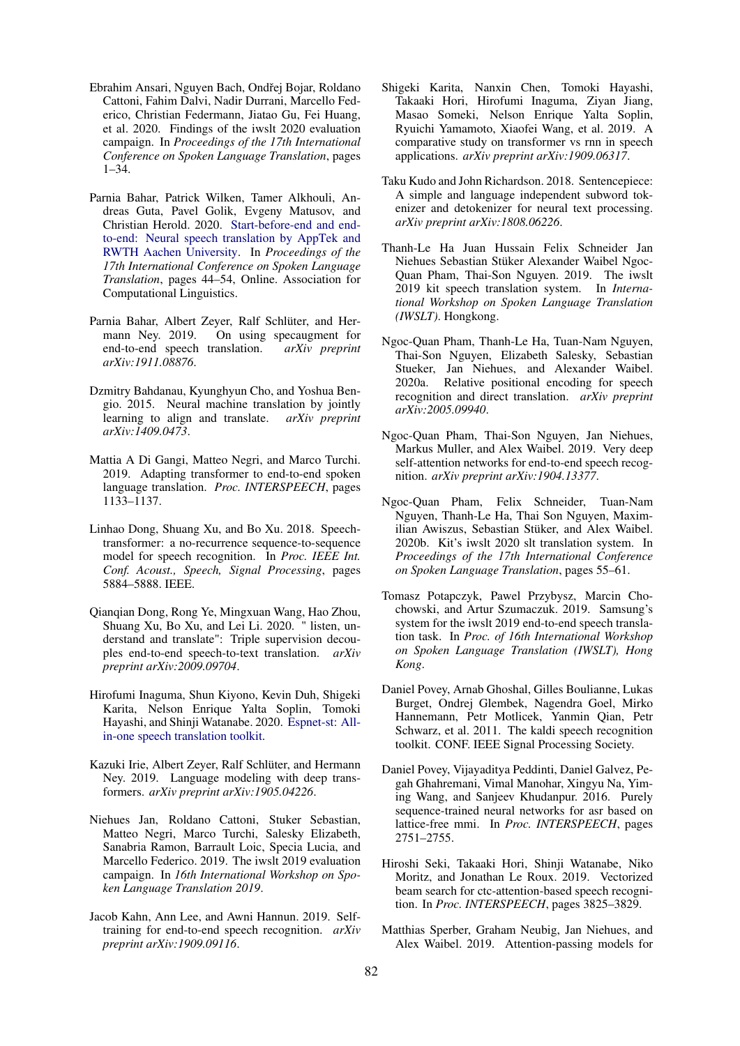- <span id="page-7-3"></span>Ebrahim Ansari, Nguyen Bach, Ondřej Bojar, Roldano Cattoni, Fahim Dalvi, Nadir Durrani, Marcello Federico, Christian Federmann, Jiatao Gu, Fei Huang, et al. 2020. Findings of the iwslt 2020 evaluation campaign. In *Proceedings of the 17th International Conference on Spoken Language Translation*, pages 1–34.
- <span id="page-7-10"></span>Parnia Bahar, Patrick Wilken, Tamer Alkhouli, Andreas Guta, Pavel Golik, Evgeny Matusov, and Christian Herold. 2020. [Start-before-end and end](https://doi.org/10.18653/v1/2020.iwslt-1.3)[to-end: Neural speech translation by AppTek and](https://doi.org/10.18653/v1/2020.iwslt-1.3) [RWTH Aachen University.](https://doi.org/10.18653/v1/2020.iwslt-1.3) In *Proceedings of the 17th International Conference on Spoken Language Translation*, pages 44–54, Online. Association for Computational Linguistics.
- <span id="page-7-9"></span>Parnia Bahar, Albert Zeyer, Ralf Schlüter, and Hermann Ney. 2019. On using specaugment for end-to-end speech translation. *arXiv preprint arXiv:1911.08876*.
- <span id="page-7-4"></span>Dzmitry Bahdanau, Kyunghyun Cho, and Yoshua Bengio. 2015. Neural machine translation by jointly learning to align and translate. *arXiv preprint arXiv:1409.0473*.
- <span id="page-7-5"></span>Mattia A Di Gangi, Matteo Negri, and Marco Turchi. 2019. Adapting transformer to end-to-end spoken language translation. *Proc. INTERSPEECH*, pages 1133–1137.
- <span id="page-7-17"></span>Linhao Dong, Shuang Xu, and Bo Xu. 2018. Speechtransformer: a no-recurrence sequence-to-sequence model for speech recognition. In *Proc. IEEE Int. Conf. Acoust., Speech, Signal Processing*, pages 5884–5888. IEEE.
- <span id="page-7-12"></span>Qianqian Dong, Rong Ye, Mingxuan Wang, Hao Zhou, Shuang Xu, Bo Xu, and Lei Li. 2020. " listen, understand and translate": Triple supervision decouples end-to-end speech-to-text translation. *arXiv preprint arXiv:2009.09704*.
- <span id="page-7-6"></span>Hirofumi Inaguma, Shun Kiyono, Kevin Duh, Shigeki Karita, Nelson Enrique Yalta Soplin, Tomoki Hayashi, and Shinji Watanabe. 2020. [Espnet-st: All](http://arxiv.org/abs/2004.10234)[in-one speech translation toolkit.](http://arxiv.org/abs/2004.10234)
- <span id="page-7-21"></span>Kazuki Irie, Albert Zeyer, Ralf Schlüter, and Hermann Ney. 2019. Language modeling with deep transformers. *arXiv preprint arXiv:1905.04226*.
- <span id="page-7-2"></span>Niehues Jan, Roldano Cattoni, Stuker Sebastian, Matteo Negri, Marco Turchi, Salesky Elizabeth, Sanabria Ramon, Barrault Loic, Specia Lucia, and Marcello Federico. 2019. The iwslt 2019 evaluation campaign. In *16th International Workshop on Spoken Language Translation 2019*.
- <span id="page-7-19"></span>Jacob Kahn, Ann Lee, and Awni Hannun. 2019. Selftraining for end-to-end speech recognition. *arXiv preprint arXiv:1909.09116*.
- <span id="page-7-18"></span>Shigeki Karita, Nanxin Chen, Tomoki Hayashi, Takaaki Hori, Hirofumi Inaguma, Ziyan Jiang, Masao Someki, Nelson Enrique Yalta Soplin, Ryuichi Yamamoto, Xiaofei Wang, et al. 2019. A comparative study on transformer vs rnn in speech applications. *arXiv preprint arXiv:1909.06317*.
- <span id="page-7-13"></span>Taku Kudo and John Richardson. 2018. Sentencepiece: A simple and language independent subword tokenizer and detokenizer for neural text processing. *arXiv preprint arXiv:1808.06226*.
- <span id="page-7-0"></span>Thanh-Le Ha Juan Hussain Felix Schneider Jan Niehues Sebastian Stüker Alexander Waibel Ngoc-Quan Pham, Thai-Son Nguyen. 2019. The iwslt 2019 kit speech translation system. In *International Workshop on Spoken Language Translation (IWSLT)*. Hongkong.
- <span id="page-7-8"></span>Ngoc-Quan Pham, Thanh-Le Ha, Tuan-Nam Nguyen, Thai-Son Nguyen, Elizabeth Salesky, Sebastian Stueker, Jan Niehues, and Alexander Waibel. 2020a. Relative positional encoding for speech recognition and direct translation. *arXiv preprint arXiv:2005.09940*.
- <span id="page-7-7"></span>Ngoc-Quan Pham, Thai-Son Nguyen, Jan Niehues, Markus Muller, and Alex Waibel. 2019. Very deep self-attention networks for end-to-end speech recognition. *arXiv preprint arXiv:1904.13377*.
- <span id="page-7-1"></span>Ngoc-Quan Pham, Felix Schneider, Tuan-Nam Nguyen, Thanh-Le Ha, Thai Son Nguyen, Maximilian Awiszus, Sebastian Stüker, and Alex Waibel. 2020b. Kit's iwslt 2020 slt translation system. In *Proceedings of the 17th International Conference on Spoken Language Translation*, pages 55–61.
- <span id="page-7-16"></span>Tomasz Potapczyk, Pawel Przybysz, Marcin Chochowski, and Artur Szumaczuk. 2019. Samsung's system for the iwslt 2019 end-to-end speech translation task. In *Proc. of 16th International Workshop on Spoken Language Translation (IWSLT), Hong Kong*.
- <span id="page-7-14"></span>Daniel Povey, Arnab Ghoshal, Gilles Boulianne, Lukas Burget, Ondrej Glembek, Nagendra Goel, Mirko Hannemann, Petr Motlicek, Yanmin Qian, Petr Schwarz, et al. 2011. The kaldi speech recognition toolkit. CONF. IEEE Signal Processing Society.
- <span id="page-7-15"></span>Daniel Povey, Vijayaditya Peddinti, Daniel Galvez, Pegah Ghahremani, Vimal Manohar, Xingyu Na, Yiming Wang, and Sanjeev Khudanpur. 2016. Purely sequence-trained neural networks for asr based on lattice-free mmi. In *Proc. INTERSPEECH*, pages 2751–2755.
- <span id="page-7-20"></span>Hiroshi Seki, Takaaki Hori, Shinji Watanabe, Niko Moritz, and Jonathan Le Roux. 2019. Vectorized beam search for ctc-attention-based speech recognition. In *Proc. INTERSPEECH*, pages 3825–3829.
- <span id="page-7-11"></span>Matthias Sperber, Graham Neubig, Jan Niehues, and Alex Waibel. 2019. Attention-passing models for